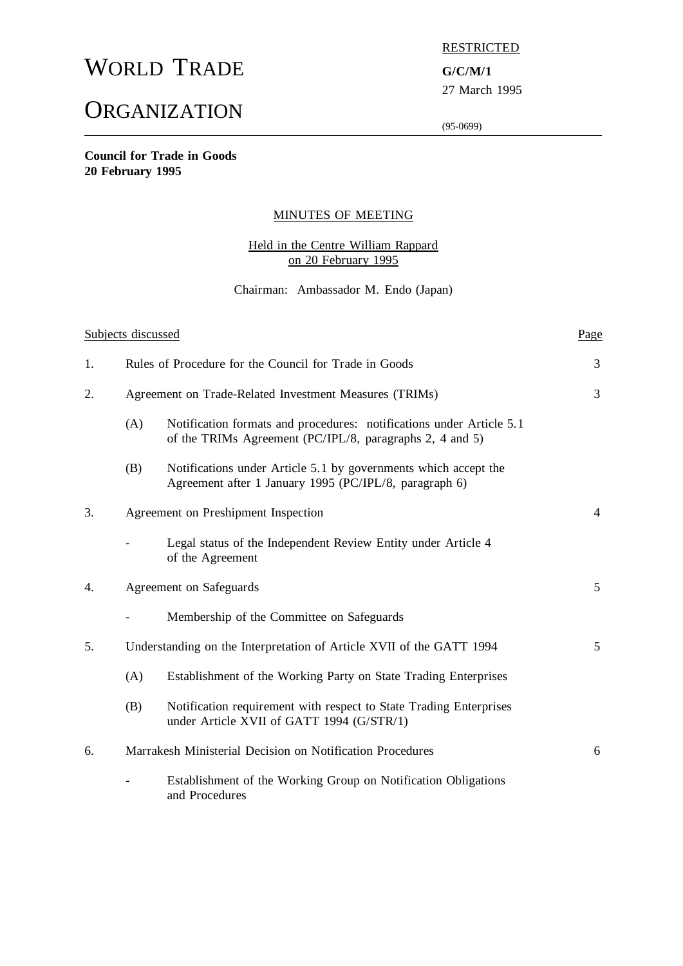# WORLD TRADE **G/C/M/1**

# **ORGANIZATION**

# **RESTRICTED**

27 March 1995

(95-0699)

**Council for Trade in Goods 20 February 1995**

# MINUTES OF MEETING

# Held in the Centre William Rappard on 20 February 1995

## Chairman: Ambassador M. Endo (Japan)

| Subjects discussed |                                                                      |                                                                                                                                  | Page |  |
|--------------------|----------------------------------------------------------------------|----------------------------------------------------------------------------------------------------------------------------------|------|--|
| 1.                 |                                                                      | Rules of Procedure for the Council for Trade in Goods                                                                            |      |  |
| 2.                 | Agreement on Trade-Related Investment Measures (TRIMs)               |                                                                                                                                  |      |  |
|                    | (A)                                                                  | Notification formats and procedures: notifications under Article 5.1<br>of the TRIMs Agreement (PC/IPL/8, paragraphs 2, 4 and 5) |      |  |
|                    | (B)                                                                  | Notifications under Article 5.1 by governments which accept the<br>Agreement after 1 January 1995 (PC/IPL/8, paragraph 6)        |      |  |
| 3.                 | Agreement on Preshipment Inspection                                  |                                                                                                                                  |      |  |
|                    |                                                                      | Legal status of the Independent Review Entity under Article 4<br>of the Agreement                                                |      |  |
| 4.                 | Agreement on Safeguards                                              |                                                                                                                                  |      |  |
|                    |                                                                      | Membership of the Committee on Safeguards                                                                                        |      |  |
| 5.                 | Understanding on the Interpretation of Article XVII of the GATT 1994 |                                                                                                                                  | 5    |  |
|                    | (A)                                                                  | Establishment of the Working Party on State Trading Enterprises                                                                  |      |  |
|                    | (B)                                                                  | Notification requirement with respect to State Trading Enterprises<br>under Article XVII of GATT 1994 (G/STR/1)                  |      |  |
| 6.                 | Marrakesh Ministerial Decision on Notification Procedures            |                                                                                                                                  | 6    |  |
|                    |                                                                      | Establishment of the Working Group on Notification Obligations<br>and Procedures                                                 |      |  |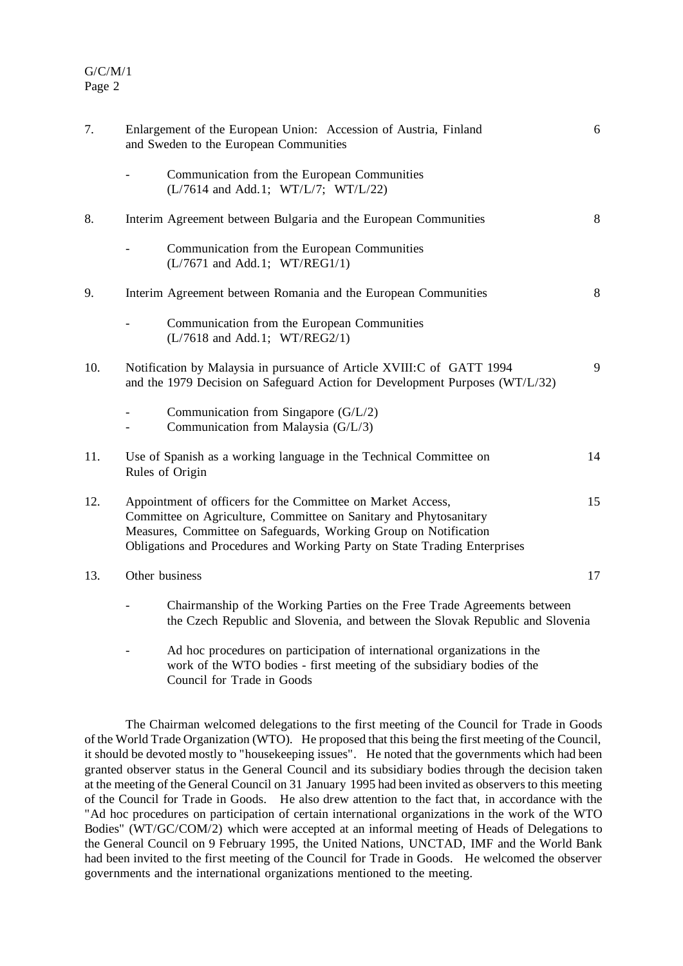| 7.  | Enlargement of the European Union: Accession of Austria, Finland<br>and Sweden to the European Communities                                                                                                                                                                        |    |  |
|-----|-----------------------------------------------------------------------------------------------------------------------------------------------------------------------------------------------------------------------------------------------------------------------------------|----|--|
|     | Communication from the European Communities<br>(L/7614 and Add.1; WT/L/7; WT/L/22)                                                                                                                                                                                                |    |  |
| 8.  | Interim Agreement between Bulgaria and the European Communities                                                                                                                                                                                                                   | 8  |  |
|     | Communication from the European Communities<br>(L/7671 and Add.1; WT/REG1/1)                                                                                                                                                                                                      |    |  |
| 9.  | Interim Agreement between Romania and the European Communities                                                                                                                                                                                                                    | 8  |  |
|     | Communication from the European Communities<br>(L/7618 and Add.1; WT/REG2/1)                                                                                                                                                                                                      |    |  |
| 10. | Notification by Malaysia in pursuance of Article XVIII: C of GATT 1994<br>and the 1979 Decision on Safeguard Action for Development Purposes (WT/L/32)                                                                                                                            |    |  |
|     | Communication from Singapore (G/L/2)<br>Communication from Malaysia (G/L/3)                                                                                                                                                                                                       |    |  |
| 11. | Use of Spanish as a working language in the Technical Committee on<br>Rules of Origin                                                                                                                                                                                             | 14 |  |
| 12. | Appointment of officers for the Committee on Market Access,<br>Committee on Agriculture, Committee on Sanitary and Phytosanitary<br>Measures, Committee on Safeguards, Working Group on Notification<br>Obligations and Procedures and Working Party on State Trading Enterprises | 15 |  |
| 13. | Other business                                                                                                                                                                                                                                                                    |    |  |
|     | Chairmanship of the Working Parties on the Free Trade Agreements between<br>the Czech Republic and Slovenia, and between the Slovak Republic and Slovenia                                                                                                                         |    |  |

- Ad hoc procedures on participation of international organizations in the work of the WTO bodies - first meeting of the subsidiary bodies of the Council for Trade in Goods

The Chairman welcomed delegations to the first meeting of the Council for Trade in Goods of the World Trade Organization (WTO). He proposed that this being the first meeting of the Council, it should be devoted mostly to "housekeeping issues". He noted that the governments which had been granted observer status in the General Council and its subsidiary bodies through the decision taken at the meeting of the General Council on 31 January 1995 had been invited as observersto this meeting of the Council for Trade in Goods. He also drew attention to the fact that, in accordance with the "Ad hoc procedures on participation of certain international organizations in the work of the WTO Bodies" (WT/GC/COM/2) which were accepted at an informal meeting of Heads of Delegations to the General Council on 9 February 1995, the United Nations, UNCTAD, IMF and the World Bank had been invited to the first meeting of the Council for Trade in Goods. He welcomed the observer governments and the international organizations mentioned to the meeting.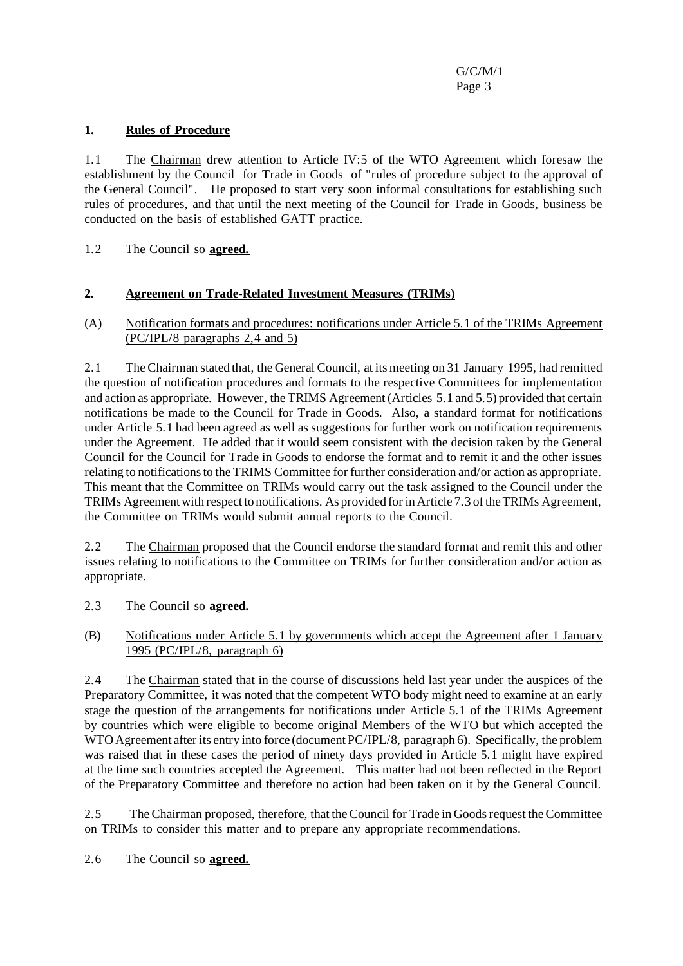# **1. Rules of Procedure**

1.1 The Chairman drew attention to Article IV:5 of the WTO Agreement which foresaw the establishment by the Council for Trade in Goods of "rules of procedure subject to the approval of the General Council". He proposed to start very soon informal consultations for establishing such rules of procedures, and that until the next meeting of the Council for Trade in Goods, business be conducted on the basis of established GATT practice.

1.2 The Council so **agreed.**

# **2. Agreement on Trade-Related Investment Measures (TRIMs)**

## (A) Notification formats and procedures: notifications under Article 5.1 of the TRIMs Agreement (PC/IPL/8 paragraphs 2,4 and 5)

2.1 The Chairman stated that, the General Council, at its meeting on 31 January 1995, had remitted the question of notification procedures and formats to the respective Committees for implementation and action as appropriate. However, the TRIMS Agreement (Articles 5.1 and 5.5) provided that certain notifications be made to the Council for Trade in Goods. Also, a standard format for notifications under Article 5.1 had been agreed as well as suggestions for further work on notification requirements under the Agreement. He added that it would seem consistent with the decision taken by the General Council for the Council for Trade in Goods to endorse the format and to remit it and the other issues relating to notifications to the TRIMS Committee for further consideration and/or action as appropriate. This meant that the Committee on TRIMs would carry out the task assigned to the Council under the TRIMs Agreement with respect to notifications. As provided for in Article 7.3 of the TRIMs Agreement, the Committee on TRIMs would submit annual reports to the Council.

2.2 The Chairman proposed that the Council endorse the standard format and remit this and other issues relating to notifications to the Committee on TRIMs for further consideration and/or action as appropriate.

2.3 The Council so **agreed.**

# (B) Notifications under Article 5.1 by governments which accept the Agreement after 1 January 1995 (PC/IPL/8, paragraph 6)

2.4 The Chairman stated that in the course of discussions held last year under the auspices of the Preparatory Committee, it was noted that the competent WTO body might need to examine at an early stage the question of the arrangements for notifications under Article 5.1 of the TRIMs Agreement by countries which were eligible to become original Members of the WTO but which accepted the WTO Agreement after its entry into force (document PC/IPL/8, paragraph 6). Specifically, the problem was raised that in these cases the period of ninety days provided in Article 5.1 might have expired at the time such countries accepted the Agreement. This matter had not been reflected in the Report of the Preparatory Committee and therefore no action had been taken on it by the General Council.

2.5 The Chairman proposed, therefore, that the Council for Trade in Goods request the Committee on TRIMs to consider this matter and to prepare any appropriate recommendations.

2.6 The Council so **agreed.**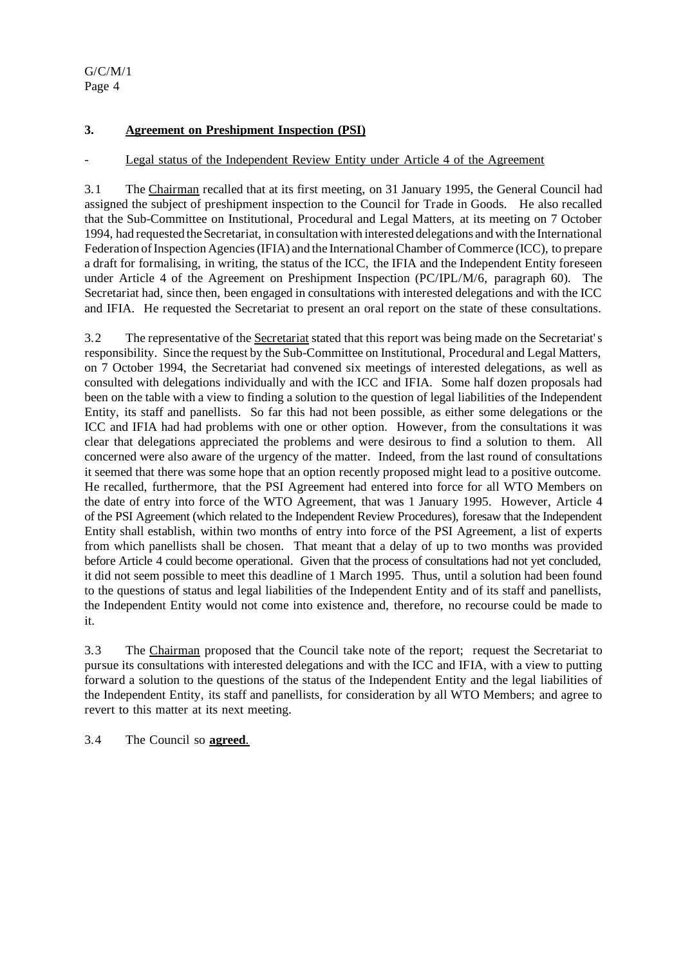### **3. Agreement on Preshipment Inspection (PSI)**

# Legal status of the Independent Review Entity under Article 4 of the Agreement

3.1 The Chairman recalled that at its first meeting, on 31 January 1995, the General Council had assigned the subject of preshipment inspection to the Council for Trade in Goods. He also recalled that the Sub-Committee on Institutional, Procedural and Legal Matters, at its meeting on 7 October 1994, had requested the Secretariat, in consultation with interested delegations and with the International Federation ofInspection Agencies(IFIA) and the InternationalChamber ofCommerce (ICC), to prepare a draft for formalising, in writing, the status of the ICC, the IFIA and the Independent Entity foreseen under Article 4 of the Agreement on Preshipment Inspection (PC/IPL/M/6, paragraph 60). The Secretariat had, since then, been engaged in consultations with interested delegations and with the ICC and IFIA. He requested the Secretariat to present an oral report on the state of these consultations.

3.2 The representative of the Secretariat stated that this report was being made on the Secretariat's responsibility. Since the request by the Sub-Committee on Institutional, Procedural and Legal Matters, on 7 October 1994, the Secretariat had convened six meetings of interested delegations, as well as consulted with delegations individually and with the ICC and IFIA. Some half dozen proposals had been on the table with a view to finding a solution to the question of legal liabilities of the Independent Entity, its staff and panellists. So far this had not been possible, as either some delegations or the ICC and IFIA had had problems with one or other option. However, from the consultations it was clear that delegations appreciated the problems and were desirous to find a solution to them. All concerned were also aware of the urgency of the matter. Indeed, from the last round of consultations it seemed that there was some hope that an option recently proposed might lead to a positive outcome. He recalled, furthermore, that the PSI Agreement had entered into force for all WTO Members on the date of entry into force of the WTO Agreement, that was 1 January 1995. However, Article 4 of the PSI Agreement (which related to the Independent Review Procedures), foresaw that the Independent Entity shall establish, within two months of entry into force of the PSI Agreement, a list of experts from which panellists shall be chosen. That meant that a delay of up to two months was provided before Article 4 could become operational. Given that the process of consultations had not yet concluded, it did not seem possible to meet this deadline of 1 March 1995. Thus, until a solution had been found to the questions of status and legal liabilities of the Independent Entity and of its staff and panellists, the Independent Entity would not come into existence and, therefore, no recourse could be made to it.

3.3 The Chairman proposed that the Council take note of the report; request the Secretariat to pursue its consultations with interested delegations and with the ICC and IFIA, with a view to putting forward a solution to the questions of the status of the Independent Entity and the legal liabilities of the Independent Entity, its staff and panellists, for consideration by all WTO Members; and agree to revert to this matter at its next meeting.

3.4 The Council so **agreed**.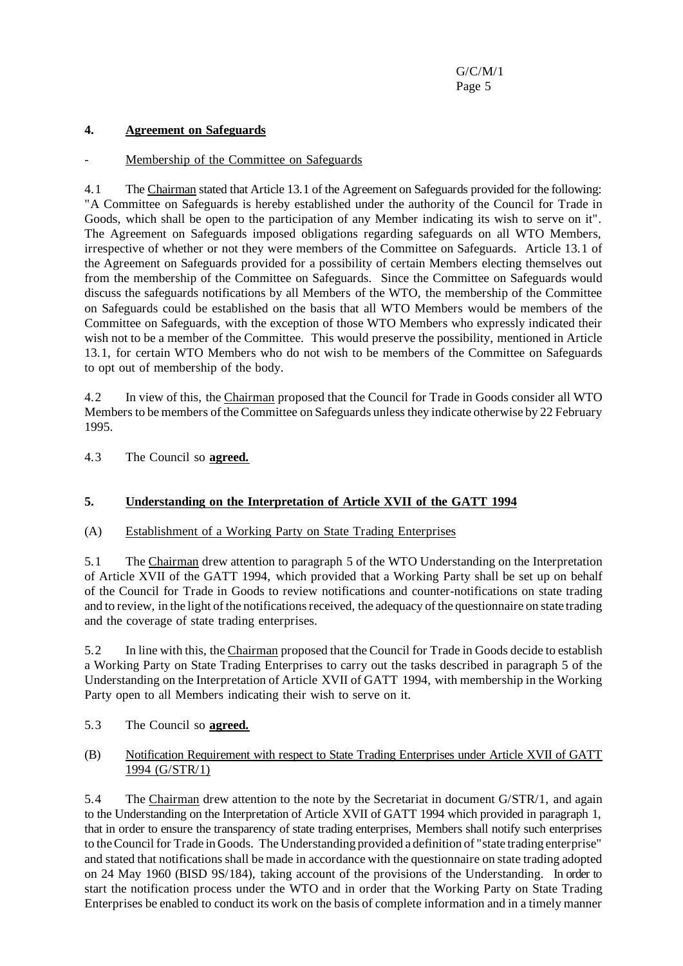### **4. Agreement on Safeguards**

#### Membership of the Committee on Safeguards

4.1 The Chairman stated that Article 13.1 of the Agreement on Safeguards provided for the following: "A Committee on Safeguards is hereby established under the authority of the Council for Trade in Goods, which shall be open to the participation of any Member indicating its wish to serve on it". The Agreement on Safeguards imposed obligations regarding safeguards on all WTO Members, irrespective of whether or not they were members of the Committee on Safeguards. Article 13.1 of the Agreement on Safeguards provided for a possibility of certain Members electing themselves out from the membership of the Committee on Safeguards. Since the Committee on Safeguards would discuss the safeguards notifications by all Members of the WTO, the membership of the Committee on Safeguards could be established on the basis that all WTO Members would be members of the Committee on Safeguards, with the exception of those WTO Members who expressly indicated their wish not to be a member of the Committee. This would preserve the possibility, mentioned in Article 13.1, for certain WTO Members who do not wish to be members of the Committee on Safeguards to opt out of membership of the body.

4.2 In view of this, the Chairman proposed that the Council for Trade in Goods consider all WTO Members to be members of the Committee on Safeguards unless they indicate otherwise by 22 February 1995.

4.3 The Council so **agreed.**

# **5. Understanding on the Interpretation of Article XVII of the GATT 1994**

(A) Establishment of a Working Party on State Trading Enterprises

5.1 The Chairman drew attention to paragraph 5 of the WTO Understanding on the Interpretation of Article XVII of the GATT 1994, which provided that a Working Party shall be set up on behalf of the Council for Trade in Goods to review notifications and counter-notifications on state trading and to review, in the light of the notifications received, the adequacy of the questionnaire on state trading and the coverage of state trading enterprises.

5.2 In line with this, the Chairman proposed that the Council for Trade in Goods decide to establish a Working Party on State Trading Enterprises to carry out the tasks described in paragraph 5 of the Understanding on the Interpretation of Article XVII of GATT 1994, with membership in the Working Party open to all Members indicating their wish to serve on it.

5.3 The Council so **agreed.**

### (B) Notification Requirement with respect to State Trading Enterprises under Article XVII of GATT 1994 (G/STR/1)

5.4 The Chairman drew attention to the note by the Secretariat in document G/STR/1, and again to the Understanding on the Interpretation of Article XVII of GATT 1994 which provided in paragraph 1, that in order to ensure the transparency of state trading enterprises, Members shall notify such enterprises to theCouncil for Trade in Goods. The Understanding provided a definition of "state trading enterprise" and stated that notifications shall be made in accordance with the questionnaire on state trading adopted on 24 May 1960 (BISD 9S/184), taking account of the provisions of the Understanding. In order to start the notification process under the WTO and in order that the Working Party on State Trading Enterprises be enabled to conduct its work on the basis of complete information and in a timely manner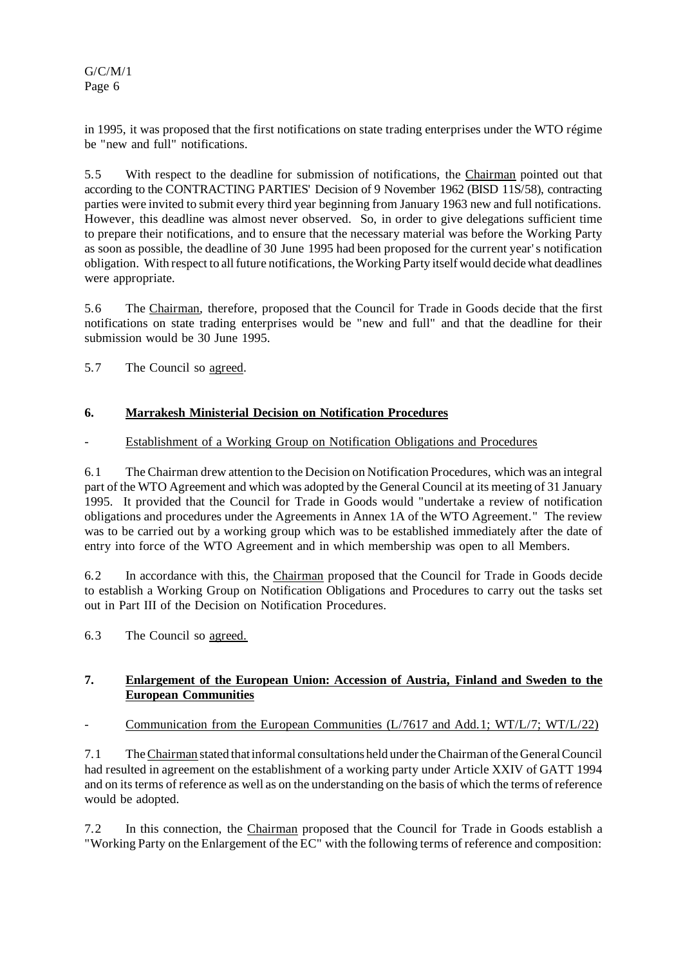in 1995, it was proposed that the first notifications on state trading enterprises under the WTO régime be "new and full" notifications.

5.5 With respect to the deadline for submission of notifications, the Chairman pointed out that according to the CONTRACTING PARTIES' Decision of 9 November 1962 (BISD 11S/58), contracting parties were invited to submit every third year beginning from January 1963 new and full notifications. However, this deadline was almost never observed. So, in order to give delegations sufficient time to prepare their notifications, and to ensure that the necessary material was before the Working Party as soon as possible, the deadline of 30 June 1995 had been proposed for the current year's notification obligation. With respect to all future notifications, the Working Party itself would decide what deadlines were appropriate.

5.6 The Chairman, therefore, proposed that the Council for Trade in Goods decide that the first notifications on state trading enterprises would be "new and full" and that the deadline for their submission would be 30 June 1995.

5.7 The Council so agreed.

### **6. Marrakesh Ministerial Decision on Notification Procedures**

#### Establishment of a Working Group on Notification Obligations and Procedures

6.1 The Chairman drew attention to the Decision on Notification Procedures, which was an integral part of the WTO Agreement and which was adopted by the General Council at its meeting of 31 January 1995. It provided that the Council for Trade in Goods would "undertake a review of notification obligations and procedures under the Agreements in Annex 1A of the WTO Agreement." The review was to be carried out by a working group which was to be established immediately after the date of entry into force of the WTO Agreement and in which membership was open to all Members.

6.2 In accordance with this, the Chairman proposed that the Council for Trade in Goods decide to establish a Working Group on Notification Obligations and Procedures to carry out the tasks set out in Part III of the Decision on Notification Procedures.

6.3 The Council so agreed.

### **7. Enlargement of the European Union: Accession of Austria, Finland and Sweden to the European Communities**

- Communication from the European Communities (L/7617 and Add.1; WT/L/7; WT/L/22)

7.1 TheChairman stated thatinformal consultations held undertheChairman ofthe GeneralCouncil had resulted in agreement on the establishment of a working party under Article XXIV of GATT 1994 and on its terms of reference as well as on the understanding on the basis of which the terms of reference would be adopted.

7.2 In this connection, the Chairman proposed that the Council for Trade in Goods establish a "Working Party on the Enlargement of the EC" with the following terms of reference and composition: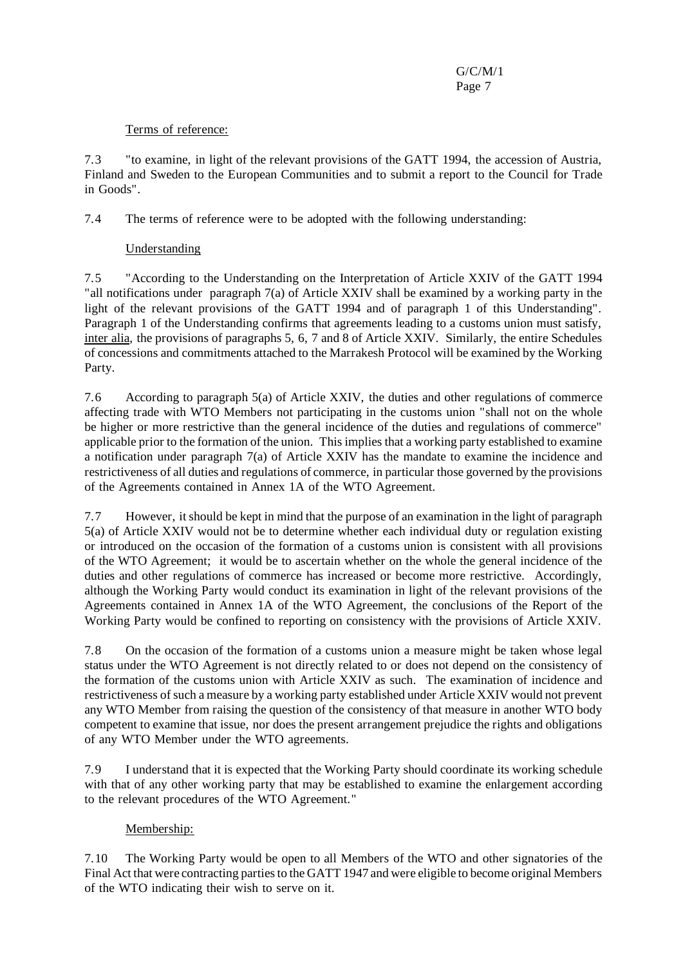## Terms of reference:

7.3 "to examine, in light of the relevant provisions of the GATT 1994, the accession of Austria, Finland and Sweden to the European Communities and to submit a report to the Council for Trade in Goods".

7.4 The terms of reference were to be adopted with the following understanding:

# Understanding

7.5 "According to the Understanding on the Interpretation of Article XXIV of the GATT 1994 "all notifications under paragraph 7(a) of Article XXIV shall be examined by a working party in the light of the relevant provisions of the GATT 1994 and of paragraph 1 of this Understanding". Paragraph 1 of the Understanding confirms that agreements leading to a customs union must satisfy, inter alia, the provisions of paragraphs 5, 6, 7 and 8 of Article XXIV. Similarly, the entire Schedules of concessions and commitments attached to the Marrakesh Protocol will be examined by the Working Party.

7.6 According to paragraph 5(a) of Article XXIV, the duties and other regulations of commerce affecting trade with WTO Members not participating in the customs union "shall not on the whole be higher or more restrictive than the general incidence of the duties and regulations of commerce" applicable prior to the formation of the union. This implies that a working party established to examine a notification under paragraph 7(a) of Article XXIV has the mandate to examine the incidence and restrictiveness of all duties and regulations of commerce, in particular those governed by the provisions of the Agreements contained in Annex 1A of the WTO Agreement.

7.7 However, itshould be kept in mind that the purpose of an examination in the light of paragraph 5(a) of Article XXIV would not be to determine whether each individual duty or regulation existing or introduced on the occasion of the formation of a customs union is consistent with all provisions of the WTO Agreement; it would be to ascertain whether on the whole the general incidence of the duties and other regulations of commerce has increased or become more restrictive. Accordingly, although the Working Party would conduct its examination in light of the relevant provisions of the Agreements contained in Annex 1A of the WTO Agreement, the conclusions of the Report of the Working Party would be confined to reporting on consistency with the provisions of Article XXIV.

7.8 On the occasion of the formation of a customs union a measure might be taken whose legal status under the WTO Agreement is not directly related to or does not depend on the consistency of the formation of the customs union with Article XXIV as such. The examination of incidence and restrictiveness ofsuch a measure by a working party established under Article XXIV would not prevent any WTO Member from raising the question of the consistency of that measure in another WTO body competent to examine that issue, nor does the present arrangement prejudice the rights and obligations of any WTO Member under the WTO agreements.

7.9 I understand that it is expected that the Working Party should coordinate its working schedule with that of any other working party that may be established to examine the enlargement according to the relevant procedures of the WTO Agreement."

# Membership:

7.10 The Working Party would be open to all Members of the WTO and other signatories of the Final Act that were contracting parties to the GATT 1947 and were eligible to become original Members of the WTO indicating their wish to serve on it.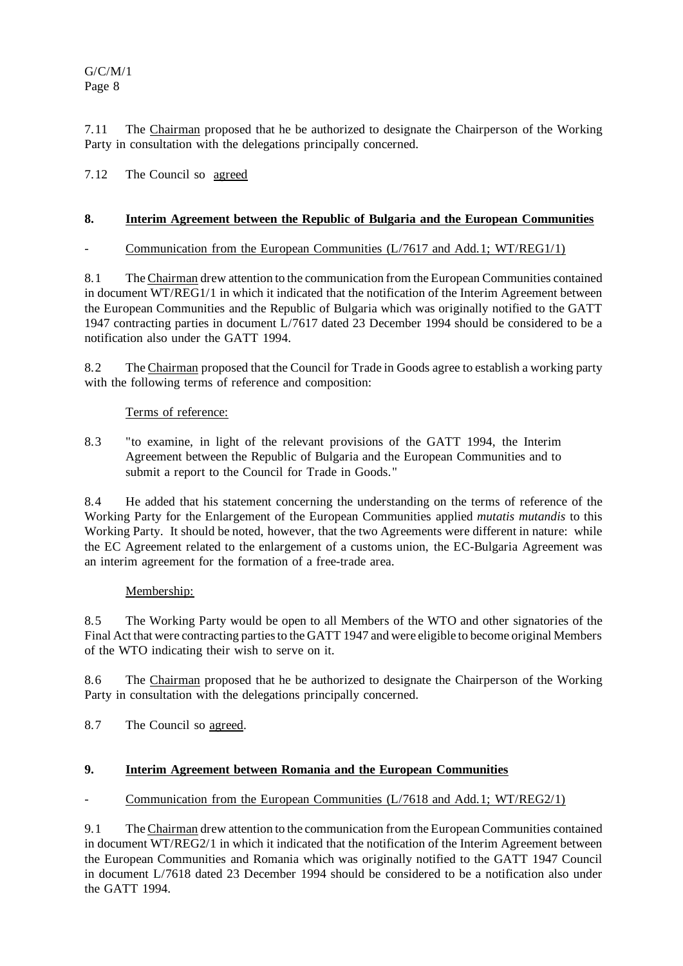7.11 The Chairman proposed that he be authorized to designate the Chairperson of the Working Party in consultation with the delegations principally concerned.

7.12 The Council so agreed

### **8. Interim Agreement between the Republic of Bulgaria and the European Communities**

### Communication from the European Communities (L/7617 and Add.1; WT/REG1/1)

8.1 The Chairman drew attention to the communication from the European Communities contained in document WT/REG1/1 in which it indicated that the notification of the Interim Agreement between the European Communities and the Republic of Bulgaria which was originally notified to the GATT 1947 contracting parties in document L/7617 dated 23 December 1994 should be considered to be a notification also under the GATT 1994.

8.2 The Chairman proposed that the Council for Trade in Goods agree to establish a working party with the following terms of reference and composition:

### Terms of reference:

8.3 "to examine, in light of the relevant provisions of the GATT 1994, the Interim Agreement between the Republic of Bulgaria and the European Communities and to submit a report to the Council for Trade in Goods."

8.4 He added that his statement concerning the understanding on the terms of reference of the Working Party for the Enlargement of the European Communities applied *mutatis mutandis* to this Working Party. It should be noted, however, that the two Agreements were different in nature: while the EC Agreement related to the enlargement of a customs union, the EC-Bulgaria Agreement was an interim agreement for the formation of a free-trade area.

# Membership:

8.5 The Working Party would be open to all Members of the WTO and other signatories of the Final Act that were contracting partiesto the GATT 1947 and were eligible to become original Members of the WTO indicating their wish to serve on it.

8.6 The Chairman proposed that he be authorized to designate the Chairperson of the Working Party in consultation with the delegations principally concerned.

8.7 The Council so agreed.

# **9. Interim Agreement between Romania and the European Communities**

# Communication from the European Communities (L/7618 and Add.1; WT/REG2/1)

9.1 The Chairman drew attention to the communication from the European Communities contained in document WT/REG2/1 in which it indicated that the notification of the Interim Agreement between the European Communities and Romania which was originally notified to the GATT 1947 Council in document L/7618 dated 23 December 1994 should be considered to be a notification also under the GATT 1994.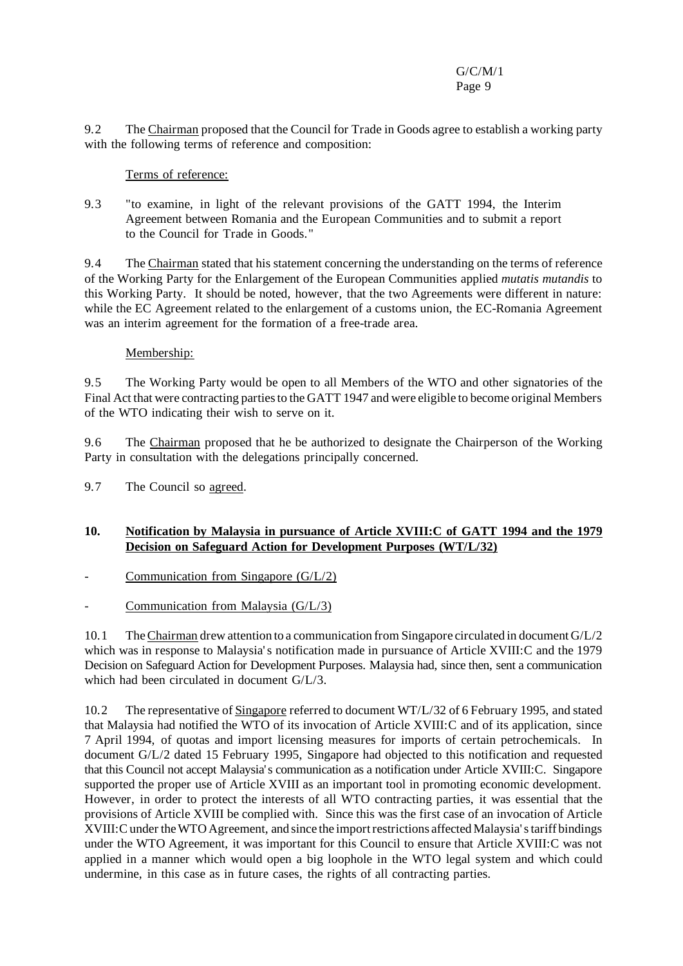9.2 The Chairman proposed that the Council for Trade in Goods agree to establish a working party with the following terms of reference and composition:

## Terms of reference:

9.3 "to examine, in light of the relevant provisions of the GATT 1994, the Interim Agreement between Romania and the European Communities and to submit a report to the Council for Trade in Goods."

9.4 The Chairman stated that his statement concerning the understanding on the terms of reference of the Working Party for the Enlargement of the European Communities applied *mutatis mutandis* to this Working Party. It should be noted, however, that the two Agreements were different in nature: while the EC Agreement related to the enlargement of a customs union, the EC-Romania Agreement was an interim agreement for the formation of a free-trade area.

### Membership:

9.5 The Working Party would be open to all Members of the WTO and other signatories of the Final Act that were contracting partiesto the GATT 1947 and were eligible to become original Members of the WTO indicating their wish to serve on it.

9.6 The Chairman proposed that he be authorized to designate the Chairperson of the Working Party in consultation with the delegations principally concerned.

9.7 The Council so agreed.

# **10. Notification by Malaysia in pursuance of Article XVIII:C of GATT 1994 and the 1979 Decision on Safeguard Action for Development Purposes (WT/L/32)**

- Communication from Singapore  $(G/L/2)$
- Communication from Malaysia  $(G/L/3)$

10.1 TheChairman drew attention to a communication from Singapore circulated in document G/L/2 which was in response to Malaysia's notification made in pursuance of Article XVIII:C and the 1979 Decision on Safeguard Action for Development Purposes. Malaysia had, since then, sent a communication which had been circulated in document G/L/3.

10.2 The representative of Singapore referred to document WT/L/32 of 6 February 1995, and stated that Malaysia had notified the WTO of its invocation of Article XVIII:C and of its application, since 7 April 1994, of quotas and import licensing measures for imports of certain petrochemicals. In document G/L/2 dated 15 February 1995, Singapore had objected to this notification and requested that this Council not accept Malaysia's communication as a notification under Article XVIII:C. Singapore supported the proper use of Article XVIII as an important tool in promoting economic development. However, in order to protect the interests of all WTO contracting parties, it was essential that the provisions of Article XVIII be complied with. Since this was the first case of an invocation of Article XVIII: Cunder the WTO Agreement, and since the import restrictions affected Malaysia's tariff bindings under the WTO Agreement, it was important for this Council to ensure that Article XVIII:C was not applied in a manner which would open a big loophole in the WTO legal system and which could undermine, in this case as in future cases, the rights of all contracting parties.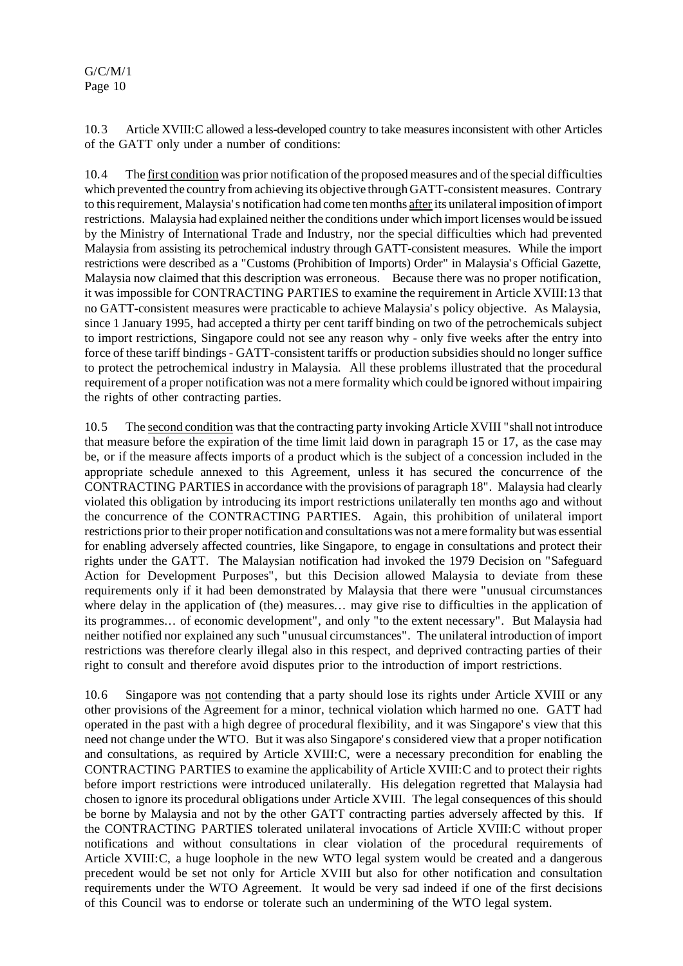10.3 Article XVIII:C allowed a less-developed country to take measuresinconsistent with other Articles of the GATT only under a number of conditions:

10.4 The first condition was prior notification of the proposed measures and of the special difficulties which prevented the country from achieving its objective through GATT-consistent measures. Contrary to this requirement, Malaysia's notification had come ten months after its unilateral imposition of import restrictions. Malaysia had explained neither the conditions under which import licenses would be issued by the Ministry of International Trade and Industry, nor the special difficulties which had prevented Malaysia from assisting its petrochemical industry through GATT-consistent measures. While the import restrictions were described as a "Customs (Prohibition of Imports) Order" in Malaysia's Official Gazette, Malaysia now claimed that this description was erroneous. Because there was no proper notification, it was impossible for CONTRACTING PARTIES to examine the requirement in Article XVIII:13 that no GATT-consistent measures were practicable to achieve Malaysia's policy objective. As Malaysia, since 1 January 1995, had accepted a thirty per cent tariff binding on two of the petrochemicals subject to import restrictions, Singapore could not see any reason why - only five weeks after the entry into force of these tariff bindings - GATT-consistent tariffs or production subsidies should no longer suffice to protect the petrochemical industry in Malaysia. All these problems illustrated that the procedural requirement of a proper notification was not a mere formality which could be ignored without impairing the rights of other contracting parties.

10.5 The second condition wasthat the contracting party invoking Article XVIII "shall not introduce that measure before the expiration of the time limit laid down in paragraph 15 or 17, as the case may be, or if the measure affects imports of a product which is the subject of a concession included in the appropriate schedule annexed to this Agreement, unless it has secured the concurrence of the CONTRACTING PARTIES in accordance with the provisions of paragraph 18". Malaysia had clearly violated this obligation by introducing its import restrictions unilaterally ten months ago and without the concurrence of the CONTRACTING PARTIES. Again, this prohibition of unilateral import restrictions priorto their proper notification and consultations was not amere formality but was essential for enabling adversely affected countries, like Singapore, to engage in consultations and protect their rights under the GATT. The Malaysian notification had invoked the 1979 Decision on "Safeguard Action for Development Purposes", but this Decision allowed Malaysia to deviate from these requirements only if it had been demonstrated by Malaysia that there were "unusual circumstances where delay in the application of (the) measures... may give rise to difficulties in the application of its programmes... of economic development", and only "to the extent necessary". But Malaysia had neither notified nor explained any such "unusual circumstances". The unilateral introduction of import restrictions was therefore clearly illegal also in this respect, and deprived contracting parties of their right to consult and therefore avoid disputes prior to the introduction of import restrictions.

10.6 Singapore was not contending that a party should lose its rights under Article XVIII or any other provisions of the Agreement for a minor, technical violation which harmed no one. GATT had operated in the past with a high degree of procedural flexibility, and it was Singapore's view that this need not change under the WTO. But it was also Singapore's considered view that a proper notification and consultations, as required by Article XVIII:C, were a necessary precondition for enabling the CONTRACTING PARTIES to examine the applicability of Article XVIII:C and to protect their rights before import restrictions were introduced unilaterally. His delegation regretted that Malaysia had chosen to ignore its procedural obligations under Article XVIII. The legal consequences of this should be borne by Malaysia and not by the other GATT contracting parties adversely affected by this. If the CONTRACTING PARTIES tolerated unilateral invocations of Article XVIII:C without proper notifications and without consultations in clear violation of the procedural requirements of Article XVIII:C, a huge loophole in the new WTO legal system would be created and a dangerous precedent would be set not only for Article XVIII but also for other notification and consultation requirements under the WTO Agreement. It would be very sad indeed if one of the first decisions of this Council was to endorse or tolerate such an undermining of the WTO legal system.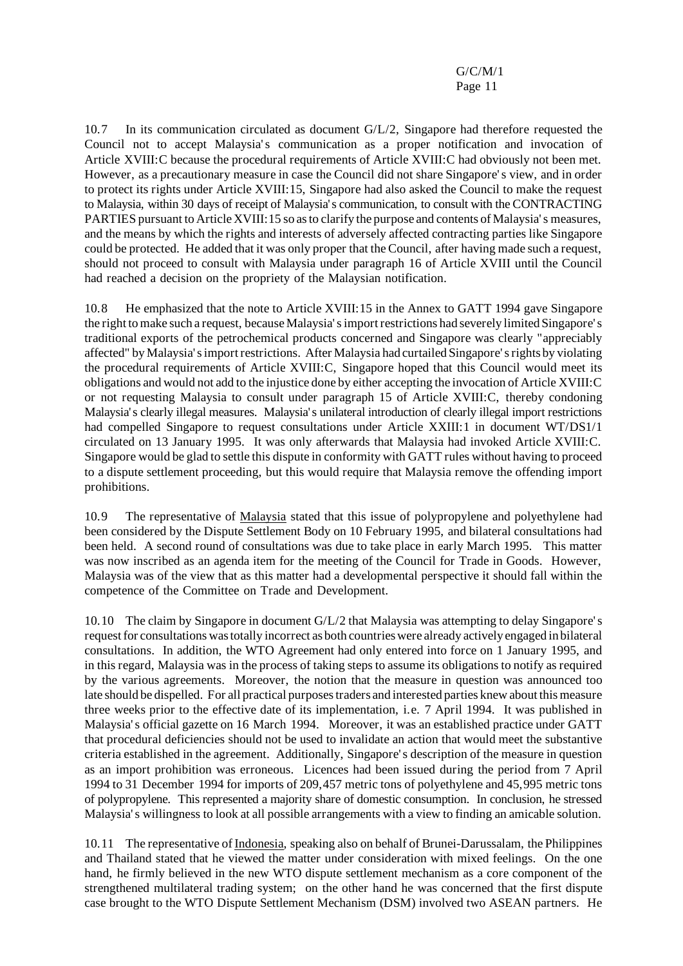10.7 In its communication circulated as document G/L/2, Singapore had therefore requested the Council not to accept Malaysia's communication as a proper notification and invocation of Article XVIII:C because the procedural requirements of Article XVIII:C had obviously not been met. However, as a precautionary measure in case the Council did not share Singapore's view, and in order to protect its rights under Article XVIII:15, Singapore had also asked the Council to make the request to Malaysia, within 30 days of receipt of Malaysia's communication, to consult with the CONTRACTING PARTIES pursuant to Article XVIII: 15 so as to clarify the purpose and contents of Malaysia's measures, and the means by which the rights and interests of adversely affected contracting parties like Singapore could be protected. He added that it was only proper that the Council, after having made such a request, should not proceed to consult with Malaysia under paragraph 16 of Article XVIII until the Council had reached a decision on the propriety of the Malaysian notification.

10.8 He emphasized that the note to Article XVIII:15 in the Annex to GATT 1994 gave Singapore the right to make such a request, because Malaysia's import restrictions had severely limited Singapore's traditional exports of the petrochemical products concerned and Singapore was clearly "appreciably affected" by Malaysia's import restrictions. After Malaysia had curtailed Singapore's rights by violating the procedural requirements of Article XVIII:C, Singapore hoped that this Council would meet its obligations and would not add to the injustice done by either accepting the invocation of Article XVIII:C or not requesting Malaysia to consult under paragraph 15 of Article XVIII:C, thereby condoning Malaysia's clearly illegal measures. Malaysia's unilateral introduction of clearly illegal import restrictions had compelled Singapore to request consultations under Article XXIII:1 in document WT/DS1/1 circulated on 13 January 1995. It was only afterwards that Malaysia had invoked Article XVIII:C. Singapore would be glad to settle this dispute in conformity with GATT rules without having to proceed to a dispute settlement proceeding, but this would require that Malaysia remove the offending import prohibitions.

10.9 The representative of Malaysia stated that this issue of polypropylene and polyethylene had been considered by the Dispute Settlement Body on 10 February 1995, and bilateral consultations had been held. A second round of consultations was due to take place in early March 1995. This matter was now inscribed as an agenda item for the meeting of the Council for Trade in Goods. However, Malaysia was of the view that as this matter had a developmental perspective it should fall within the competence of the Committee on Trade and Development.

10.10 The claim by Singapore in document G/L/2 that Malaysia was attempting to delay Singapore's request for consultations was totally incorrect as both countries were already actively engaged in bilateral consultations. In addition, the WTO Agreement had only entered into force on 1 January 1995, and in this regard, Malaysia was in the process of taking steps to assume its obligations to notify as required by the various agreements. Moreover, the notion that the measure in question was announced too late should be dispelled. For all practical purposes traders and interested parties knew about this measure three weeks prior to the effective date of its implementation, i.e. 7 April 1994. It was published in Malaysia's official gazette on 16 March 1994. Moreover, it was an established practice under GATT that procedural deficiencies should not be used to invalidate an action that would meet the substantive criteria established in the agreement. Additionally, Singapore's description of the measure in question as an import prohibition was erroneous. Licences had been issued during the period from 7 April 1994 to 31 December 1994 for imports of 209,457 metric tons of polyethylene and 45,995 metric tons of polypropylene. This represented a majority share of domestic consumption. In conclusion, he stressed Malaysia's willingness to look at all possible arrangements with a view to finding an amicable solution.

10.11 The representative of Indonesia, speaking also on behalf of Brunei-Darussalam, the Philippines and Thailand stated that he viewed the matter under consideration with mixed feelings. On the one hand, he firmly believed in the new WTO dispute settlement mechanism as a core component of the strengthened multilateral trading system; on the other hand he was concerned that the first dispute case brought to the WTO Dispute Settlement Mechanism (DSM) involved two ASEAN partners. He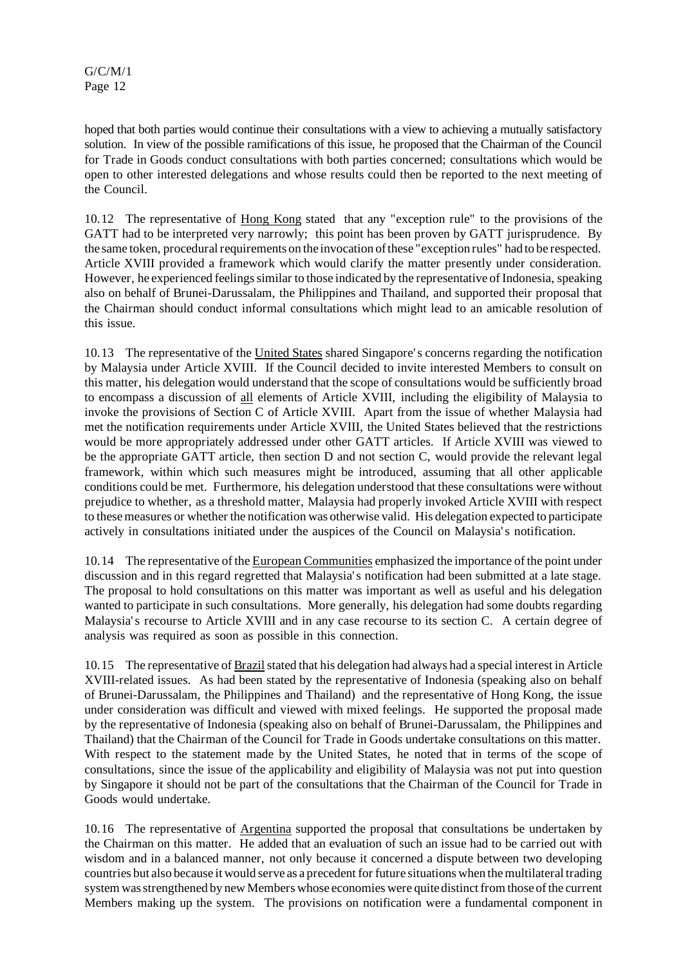hoped that both parties would continue their consultations with a view to achieving a mutually satisfactory solution. In view of the possible ramifications of this issue, he proposed that the Chairman of the Council for Trade in Goods conduct consultations with both parties concerned; consultations which would be open to other interested delegations and whose results could then be reported to the next meeting of the Council.

10.12 The representative of Hong Kong stated that any "exception rule" to the provisions of the GATT had to be interpreted very narrowly; this point has been proven by GATT jurisprudence. By the same token, procedural requirements on the invocation of these "exception rules" had to be respected. Article XVIII provided a framework which would clarify the matter presently under consideration. However, he experienced feelings similar to those indicated by the representative of Indonesia, speaking also on behalf of Brunei-Darussalam, the Philippines and Thailand, and supported their proposal that the Chairman should conduct informal consultations which might lead to an amicable resolution of this issue.

10.13 The representative of the United States shared Singapore's concerns regarding the notification by Malaysia under Article XVIII. If the Council decided to invite interested Members to consult on this matter, his delegation would understand that the scope of consultations would be sufficiently broad to encompass a discussion of all elements of Article XVIII, including the eligibility of Malaysia to invoke the provisions of Section C of Article XVIII. Apart from the issue of whether Malaysia had met the notification requirements under Article XVIII, the United States believed that the restrictions would be more appropriately addressed under other GATT articles. If Article XVIII was viewed to be the appropriate GATT article, then section D and not section C, would provide the relevant legal framework, within which such measures might be introduced, assuming that all other applicable conditions could be met. Furthermore, his delegation understood that these consultations were without prejudice to whether, as a threshold matter, Malaysia had properly invoked Article XVIII with respect to these measures or whether the notification was otherwise valid. His delegation expected to participate actively in consultations initiated under the auspices of the Council on Malaysia's notification.

10.14 The representative of the European Communities emphasized the importance of the point under discussion and in this regard regretted that Malaysia's notification had been submitted at a late stage. The proposal to hold consultations on this matter was important as well as useful and his delegation wanted to participate in such consultations. More generally, his delegation had some doubts regarding Malaysia's recourse to Article XVIII and in any case recourse to its section C. A certain degree of analysis was required as soon as possible in this connection.

10.15 The representative of Brazilstated that his delegation had always had a special interest in Article XVIII-related issues. As had been stated by the representative of Indonesia (speaking also on behalf of Brunei-Darussalam, the Philippines and Thailand) and the representative of Hong Kong, the issue under consideration was difficult and viewed with mixed feelings. He supported the proposal made by the representative of Indonesia (speaking also on behalf of Brunei-Darussalam, the Philippines and Thailand) that the Chairman of the Council for Trade in Goods undertake consultations on this matter. With respect to the statement made by the United States, he noted that in terms of the scope of consultations, since the issue of the applicability and eligibility of Malaysia was not put into question by Singapore it should not be part of the consultations that the Chairman of the Council for Trade in Goods would undertake.

10.16 The representative of Argentina supported the proposal that consultations be undertaken by the Chairman on this matter. He added that an evaluation of such an issue had to be carried out with wisdom and in a balanced manner, not only because it concerned a dispute between two developing countries but also because it would serve as a precedent for future situations when the multilateral trading system was strengthened by new Members whose economies were quite distinct from those of the current Members making up the system. The provisions on notification were a fundamental component in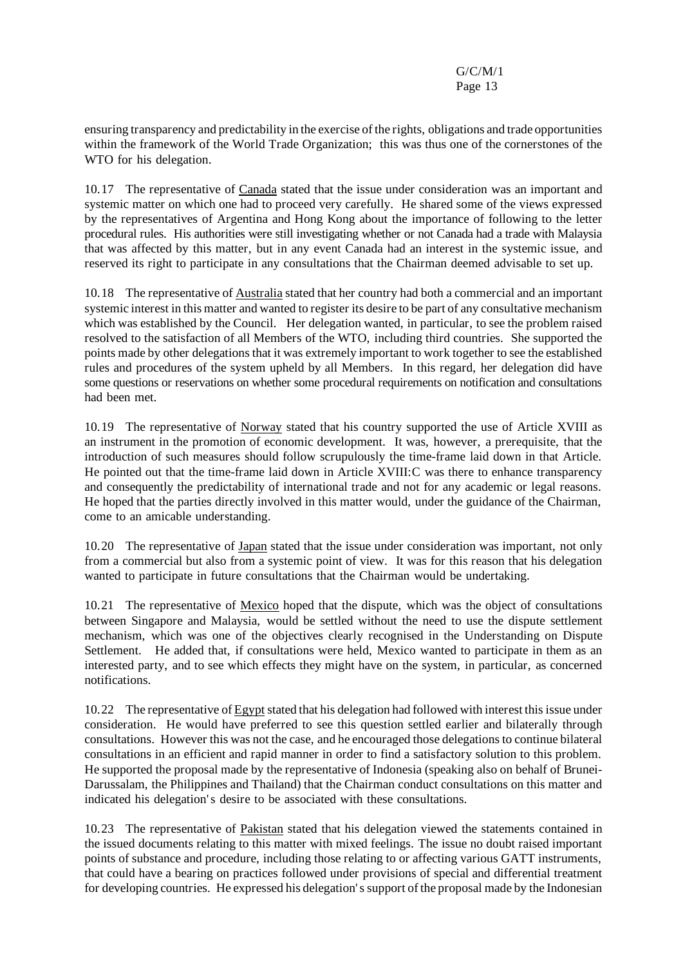ensuring transparency and predictability in the exercise of the rights, obligations and trade opportunities within the framework of the World Trade Organization; this was thus one of the cornerstones of the WTO for his delegation.

10.17 The representative of Canada stated that the issue under consideration was an important and systemic matter on which one had to proceed very carefully. He shared some of the views expressed by the representatives of Argentina and Hong Kong about the importance of following to the letter procedural rules. His authorities were still investigating whether or not Canada had a trade with Malaysia that was affected by this matter, but in any event Canada had an interest in the systemic issue, and reserved its right to participate in any consultations that the Chairman deemed advisable to set up.

10.18 The representative of Australia stated that her country had both a commercial and an important systemic interest in this matter and wanted to register its desire to be part of any consultative mechanism which was established by the Council. Her delegation wanted, in particular, to see the problem raised resolved to the satisfaction of all Members of the WTO, including third countries. She supported the points made by other delegations that it was extremely important to work together to see the established rules and procedures of the system upheld by all Members. In this regard, her delegation did have some questions or reservations on whether some procedural requirements on notification and consultations had been met.

10.19 The representative of Norway stated that his country supported the use of Article XVIII as an instrument in the promotion of economic development. It was, however, a prerequisite, that the introduction of such measures should follow scrupulously the time-frame laid down in that Article. He pointed out that the time-frame laid down in Article XVIII:C was there to enhance transparency and consequently the predictability of international trade and not for any academic or legal reasons. He hoped that the parties directly involved in this matter would, under the guidance of the Chairman, come to an amicable understanding.

10.20 The representative of Japan stated that the issue under consideration was important, not only from a commercial but also from a systemic point of view. It was for this reason that his delegation wanted to participate in future consultations that the Chairman would be undertaking.

10.21 The representative of Mexico hoped that the dispute, which was the object of consultations between Singapore and Malaysia, would be settled without the need to use the dispute settlement mechanism, which was one of the objectives clearly recognised in the Understanding on Dispute Settlement. He added that, if consultations were held, Mexico wanted to participate in them as an interested party, and to see which effects they might have on the system, in particular, as concerned notifications.

10.22 The representative of Egypt stated that his delegation had followed with interest this issue under consideration. He would have preferred to see this question settled earlier and bilaterally through consultations. However this was not the case, and he encouraged those delegations to continue bilateral consultations in an efficient and rapid manner in order to find a satisfactory solution to this problem. He supported the proposal made by the representative of Indonesia (speaking also on behalf of Brunei-Darussalam, the Philippines and Thailand) that the Chairman conduct consultations on this matter and indicated his delegation's desire to be associated with these consultations.

10.23 The representative of Pakistan stated that his delegation viewed the statements contained in the issued documents relating to this matter with mixed feelings. The issue no doubt raised important points of substance and procedure, including those relating to or affecting various GATT instruments, that could have a bearing on practices followed under provisions of special and differential treatment for developing countries. He expressed his delegation'ssupport of the proposal made by the Indonesian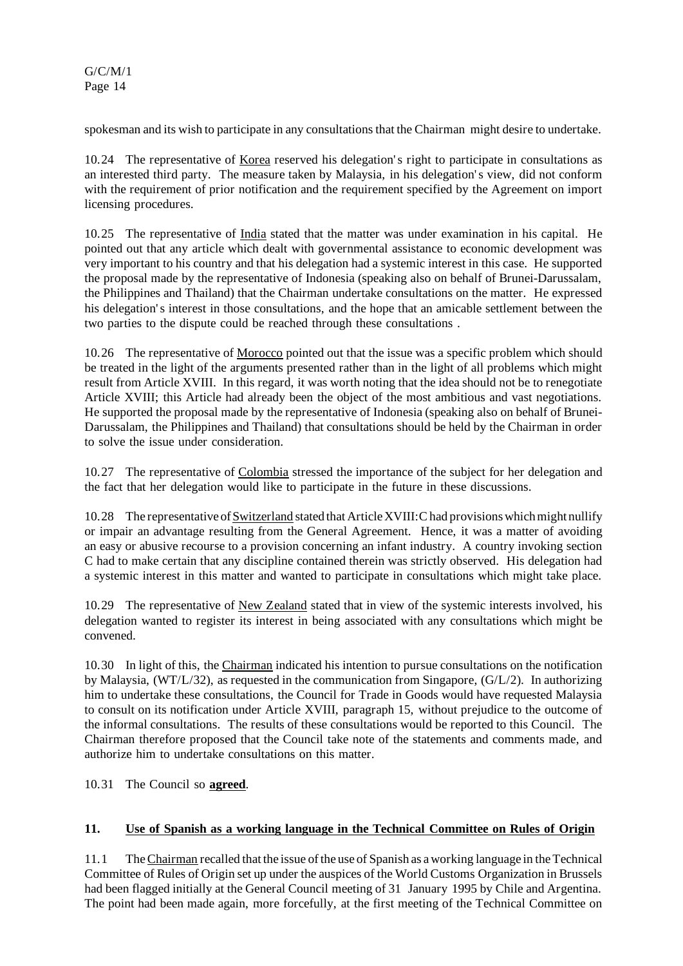spokesman and its wish to participate in any consultations that the Chairman might desire to undertake.

10.24 The representative of Korea reserved his delegation's right to participate in consultations as an interested third party. The measure taken by Malaysia, in his delegation's view, did not conform with the requirement of prior notification and the requirement specified by the Agreement on import licensing procedures.

10.25 The representative of India stated that the matter was under examination in his capital. He pointed out that any article which dealt with governmental assistance to economic development was very important to his country and that his delegation had a systemic interest in this case. He supported the proposal made by the representative of Indonesia (speaking also on behalf of Brunei-Darussalam, the Philippines and Thailand) that the Chairman undertake consultations on the matter. He expressed his delegation's interest in those consultations, and the hope that an amicable settlement between the two parties to the dispute could be reached through these consultations .

10.26 The representative of Morocco pointed out that the issue was a specific problem which should be treated in the light of the arguments presented rather than in the light of all problems which might result from Article XVIII. In this regard, it was worth noting that the idea should not be to renegotiate Article XVIII; this Article had already been the object of the most ambitious and vast negotiations. He supported the proposal made by the representative of Indonesia (speaking also on behalf of Brunei-Darussalam, the Philippines and Thailand) that consultations should be held by the Chairman in order to solve the issue under consideration.

10.27 The representative of Colombia stressed the importance of the subject for her delegation and the fact that her delegation would like to participate in the future in these discussions.

10.28 The representative of Switzerland stated that Article XVIII: C had provisions which might nullify or impair an advantage resulting from the General Agreement. Hence, it was a matter of avoiding an easy or abusive recourse to a provision concerning an infant industry. A country invoking section C had to make certain that any discipline contained therein was strictly observed. His delegation had a systemic interest in this matter and wanted to participate in consultations which might take place.

10.29 The representative of New Zealand stated that in view of the systemic interests involved, his delegation wanted to register its interest in being associated with any consultations which might be convened.

10.30 In light of this, the Chairman indicated his intention to pursue consultations on the notification by Malaysia, (WT/L/32), as requested in the communication from Singapore, (G/L/2). In authorizing him to undertake these consultations, the Council for Trade in Goods would have requested Malaysia to consult on its notification under Article XVIII, paragraph 15, without prejudice to the outcome of the informal consultations. The results of these consultations would be reported to this Council. The Chairman therefore proposed that the Council take note of the statements and comments made, and authorize him to undertake consultations on this matter.

10.31 The Council so **agreed**.

#### **11. Use of Spanish as a working language in the Technical Committee on Rules of Origin**

11.1 The Chairman recalled that the issue of the use of Spanish as a working language in the Technical Committee of Rules of Origin set up under the auspices of the World Customs Organization in Brussels had been flagged initially at the General Council meeting of 31 January 1995 by Chile and Argentina. The point had been made again, more forcefully, at the first meeting of the Technical Committee on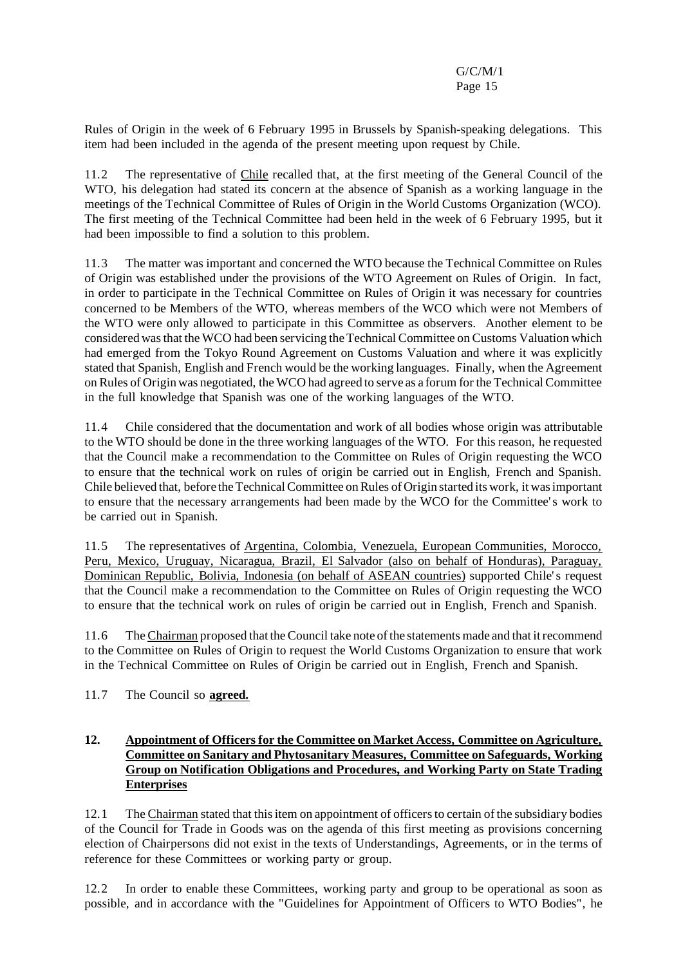Rules of Origin in the week of 6 February 1995 in Brussels by Spanish-speaking delegations. This item had been included in the agenda of the present meeting upon request by Chile.

11.2 The representative of Chile recalled that, at the first meeting of the General Council of the WTO, his delegation had stated its concern at the absence of Spanish as a working language in the meetings of the Technical Committee of Rules of Origin in the World Customs Organization (WCO). The first meeting of the Technical Committee had been held in the week of 6 February 1995, but it had been impossible to find a solution to this problem.

11.3 The matter was important and concerned the WTO because the Technical Committee on Rules of Origin was established under the provisions of the WTO Agreement on Rules of Origin. In fact, in order to participate in the Technical Committee on Rules of Origin it was necessary for countries concerned to be Members of the WTO, whereas members of the WCO which were not Members of the WTO were only allowed to participate in this Committee as observers. Another element to be considered wasthat the WCO had been servicing theTechnical Committee on Customs Valuation which had emerged from the Tokyo Round Agreement on Customs Valuation and where it was explicitly stated that Spanish, English and French would be the working languages. Finally, when the Agreement on Rules of Origin was negotiated, the WCO had agreed to serve as a forum for the Technical Committee in the full knowledge that Spanish was one of the working languages of the WTO.

11.4 Chile considered that the documentation and work of all bodies whose origin was attributable to the WTO should be done in the three working languages of the WTO. For this reason, he requested that the Council make a recommendation to the Committee on Rules of Origin requesting the WCO to ensure that the technical work on rules of origin be carried out in English, French and Spanish. Chile believed that, before the Technical Committee on Rules of Origin started its work, it was important to ensure that the necessary arrangements had been made by the WCO for the Committee's work to be carried out in Spanish.

11.5 The representatives of Argentina, Colombia, Venezuela, European Communities, Morocco, Peru, Mexico, Uruguay, Nicaragua, Brazil, El Salvador (also on behalf of Honduras), Paraguay, Dominican Republic, Bolivia, Indonesia (on behalf of ASEAN countries) supported Chile's request that the Council make a recommendation to the Committee on Rules of Origin requesting the WCO to ensure that the technical work on rules of origin be carried out in English, French and Spanish.

11.6 The Chairman proposed that the Council take note of the statements made and that itrecommend to the Committee on Rules of Origin to request the World Customs Organization to ensure that work in the Technical Committee on Rules of Origin be carried out in English, French and Spanish.

11.7 The Council so **agreed.**

## **12. Appointment of Officers for the Committee on Market Access, Committee on Agriculture, Committee on Sanitary and Phytosanitary Measures, Committee on Safeguards, Working Group on Notification Obligations and Procedures, and Working Party on State Trading Enterprises**

12.1 The Chairman stated that thisitem on appointment of officersto certain of the subsidiary bodies of the Council for Trade in Goods was on the agenda of this first meeting as provisions concerning election of Chairpersons did not exist in the texts of Understandings, Agreements, or in the terms of reference for these Committees or working party or group.

12.2 In order to enable these Committees, working party and group to be operational as soon as possible, and in accordance with the "Guidelines for Appointment of Officers to WTO Bodies", he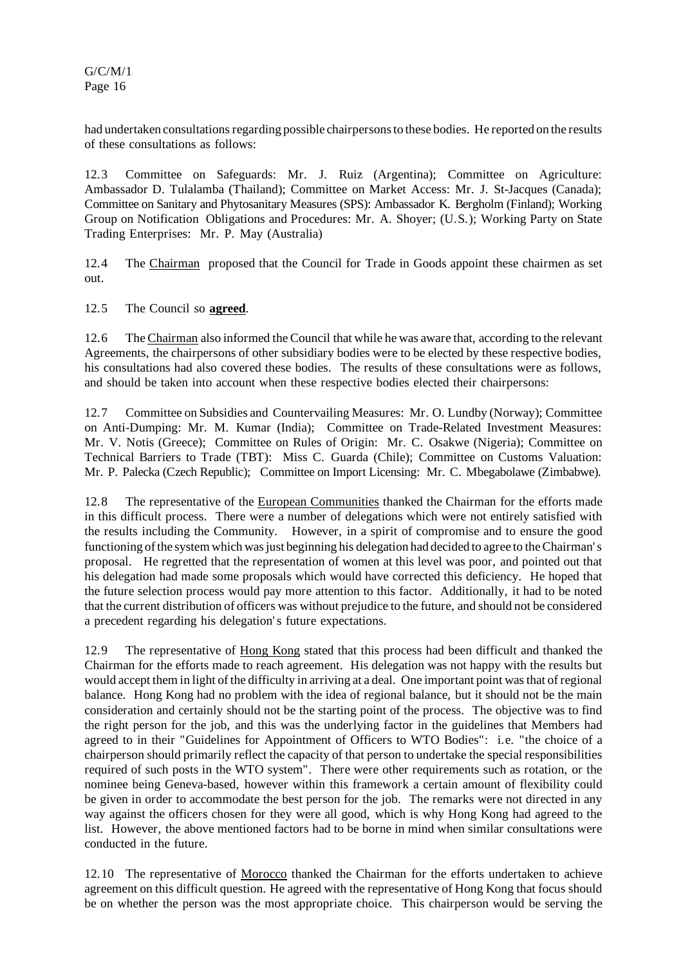had undertaken consultations regarding possible chairpersons to these bodies. He reported on the results of these consultations as follows:

12.3 Committee on Safeguards: Mr. J. Ruiz (Argentina); Committee on Agriculture: Ambassador D. Tulalamba (Thailand); Committee on Market Access: Mr. J. St-Jacques (Canada); Committee on Sanitary and Phytosanitary Measures (SPS): Ambassador K. Bergholm (Finland); Working Group on Notification Obligations and Procedures: Mr. A. Shoyer; (U.S.); Working Party on State Trading Enterprises: Mr. P. May (Australia)

12.4 The Chairman proposed that the Council for Trade in Goods appoint these chairmen as set out.

12.5 The Council so **agreed**.

12.6 The Chairman also informed the Council that while he was aware that, according to the relevant Agreements, the chairpersons of other subsidiary bodies were to be elected by these respective bodies, his consultations had also covered these bodies. The results of these consultations were as follows, and should be taken into account when these respective bodies elected their chairpersons:

12.7 Committee on Subsidies and Countervailing Measures: Mr. O. Lundby (Norway); Committee on Anti-Dumping: Mr. M. Kumar (India); Committee on Trade-Related Investment Measures: Mr. V. Notis (Greece); Committee on Rules of Origin: Mr. C. Osakwe (Nigeria); Committee on Technical Barriers to Trade (TBT): Miss C. Guarda (Chile); Committee on Customs Valuation: Mr. P. Palecka (Czech Republic); Committee on Import Licensing: Mr. C. Mbegabolawe (Zimbabwe).

12.8 The representative of the European Communities thanked the Chairman for the efforts made in this difficult process. There were a number of delegations which were not entirely satisfied with the results including the Community. However, in a spirit of compromise and to ensure the good functioning of the system which was just beginning his delegation had decided to agree to the Chairman's proposal. He regretted that the representation of women at this level was poor, and pointed out that his delegation had made some proposals which would have corrected this deficiency. He hoped that the future selection process would pay more attention to this factor. Additionally, it had to be noted that the current distribution of officers was without prejudice to the future, and should not be considered a precedent regarding his delegation's future expectations.

12.9 The representative of Hong Kong stated that this process had been difficult and thanked the Chairman for the efforts made to reach agreement. His delegation was not happy with the results but would accept them in light of the difficulty in arriving at a deal. One important point wasthat ofregional balance. Hong Kong had no problem with the idea of regional balance, but it should not be the main consideration and certainly should not be the starting point of the process. The objective was to find the right person for the job, and this was the underlying factor in the guidelines that Members had agreed to in their "Guidelines for Appointment of Officers to WTO Bodies": i.e. "the choice of a chairperson should primarily reflect the capacity of that person to undertake the special responsibilities required of such posts in the WTO system". There were other requirements such as rotation, or the nominee being Geneva-based, however within this framework a certain amount of flexibility could be given in order to accommodate the best person for the job. The remarks were not directed in any way against the officers chosen for they were all good, which is why Hong Kong had agreed to the list. However, the above mentioned factors had to be borne in mind when similar consultations were conducted in the future.

12.10 The representative of Morocco thanked the Chairman for the efforts undertaken to achieve agreement on this difficult question. He agreed with the representative of Hong Kong that focus should be on whether the person was the most appropriate choice. This chairperson would be serving the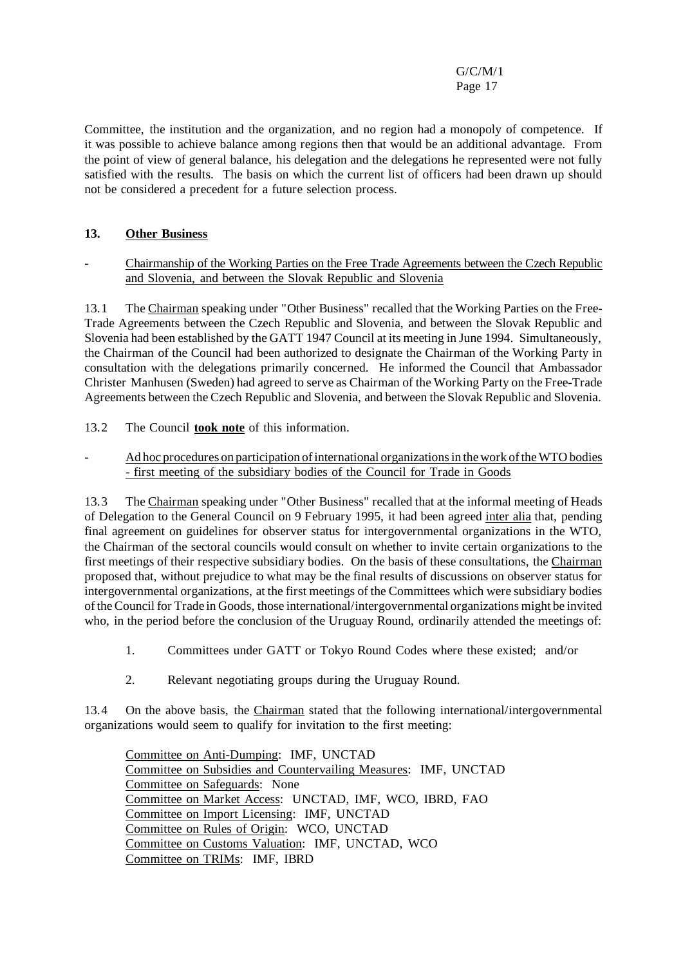Committee, the institution and the organization, and no region had a monopoly of competence. If it was possible to achieve balance among regions then that would be an additional advantage. From the point of view of general balance, his delegation and the delegations he represented were not fully satisfied with the results. The basis on which the current list of officers had been drawn up should not be considered a precedent for a future selection process.

# **13. Other Business**

- Chairmanship of the Working Parties on the Free Trade Agreements between the Czech Republic and Slovenia, and between the Slovak Republic and Slovenia

13.1 The Chairman speaking under "Other Business" recalled that the Working Parties on the Free-Trade Agreements between the Czech Republic and Slovenia, and between the Slovak Republic and Slovenia had been established by the GATT 1947 Council at its meeting in June 1994. Simultaneously, the Chairman of the Council had been authorized to designate the Chairman of the Working Party in consultation with the delegations primarily concerned. He informed the Council that Ambassador Christer Manhusen (Sweden) had agreed to serve as Chairman of the Working Party on the Free-Trade Agreements between the Czech Republic and Slovenia, and between the Slovak Republic and Slovenia.

13.2 The Council **took note** of this information.

Ad hoc procedures on participation of international organizations in the work of the WTO bodies - first meeting of the subsidiary bodies of the Council for Trade in Goods

13.3 The Chairman speaking under "Other Business" recalled that at the informal meeting of Heads of Delegation to the General Council on 9 February 1995, it had been agreed inter alia that, pending final agreement on guidelines for observer status for intergovernmental organizations in the WTO, the Chairman of the sectoral councils would consult on whether to invite certain organizations to the first meetings of their respective subsidiary bodies. On the basis of these consultations, the Chairman proposed that, without prejudice to what may be the final results of discussions on observer status for intergovernmental organizations, at the first meetings of the Committees which were subsidiary bodies of the Council for Trade in Goods, those international/intergovernmental organizations might be invited who, in the period before the conclusion of the Uruguay Round, ordinarily attended the meetings of:

- 1. Committees under GATT or Tokyo Round Codes where these existed; and/or
- 2. Relevant negotiating groups during the Uruguay Round.

13.4 On the above basis, the Chairman stated that the following international/intergovernmental organizations would seem to qualify for invitation to the first meeting:

Committee on Anti-Dumping: IMF, UNCTAD Committee on Subsidies and Countervailing Measures: IMF, UNCTAD Committee on Safeguards: None Committee on Market Access: UNCTAD, IMF, WCO, IBRD, FAO Committee on Import Licensing: IMF, UNCTAD Committee on Rules of Origin: WCO, UNCTAD Committee on Customs Valuation: IMF, UNCTAD, WCO Committee on TRIMs: IMF, IBRD